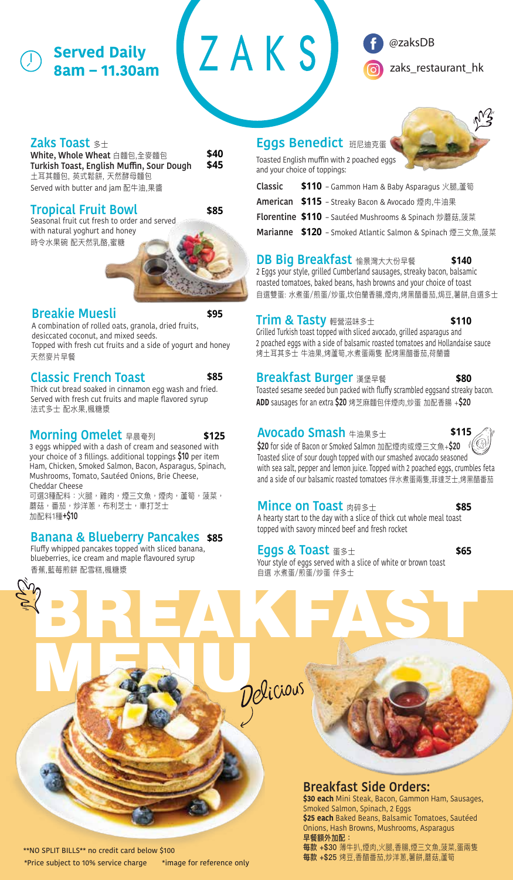## **Served Daily 8am – 11.30am**

## @zaksDB

zaks restaurant hk

### **Zaks Toast** 多士

**\$40 \$45 White, Whole Wheat** 白麵包,全麥麵包 **Turkish Toast, English Muffin, Sour Dough** 土耳其麵包, 英式鬆餅, 天然酵母麵包 Served with butter and jam 配牛油,果醬

## **Tropical Fruit Bowl \$85**

Seasonal fruit cut fresh to order and served with natural yoghurt and honey 時令水果碗 配天然乳酪,蜜糖



## **Breakie Muesli \$95**

A combination of rolled oats, granola, dried fruits, desiccated coconut, and mixed seeds. Topped with fresh cut fruits and a side of yogurt and honey 天然麥片早餐

## **Classic French Toast \$85**

Thick cut bread soaked in cinnamon egg wash and fried. Served with fresh cut fruits and maple flavored syrup 法式多士 配水果,楓糖漿

## **Morning Omelet** 早晨奄列 **\$125**

3 eggs whipped with a dash of cream and seasoned with your choice of 3 fillings. additional toppings **\$10** per item Ham, Chicken, Smoked Salmon, Bacon, Asparagus, Spinach, Mushrooms, Tomato, Sautéed Onions, Brie Cheese, Cheddar Cheese

可選3種配料:火腿,雞肉,煙三文魚,煙肉,蘆筍,菠菜, 蘑菇,番茄,炒洋蔥,布利芝士,車打芝士 加配料1種**+\$10**

## **Banana & Blueberry Pancakes \$85**

MARK U

Fluffy whipped pancakes topped with sliced banana, blueberries, ice cream and maple flavoured syrup 香蕉,藍莓煎餅 配雪糕,楓糖漿

## **Eggs Benedict** 班尼迪克蛋

ZAKS



Toasted English muffin with 2 poached eggs and your choice of toppings:

| Classic \$110 - Gammon Ham & Baby Asparagus 火腿,蘆筍         |
|-----------------------------------------------------------|
| <b>American \$115</b> - Streaky Bacon & Avocado 煙肉,牛油果    |
| Florentine \$110 - Sautéed Mushrooms & Spinach 炒蘑菇,菠菜     |
| Marianne \$120 - Smoked Atlantic Salmon & Spinach 煙三文魚,菠菜 |

## **DB Big Breakfast** 愉景灣大大份早餐 **\$140**

2 Eggs your style, grilled Cumberland sausages, streaky bacon, balsamic roasted tomatoes, baked beans, hash browns and your choice of toast 自選雙蛋: 水煮蛋/煎蛋/炒蛋,坎伯蘭香腸,煙肉,烤黑醋番茄,焗豆,薯餅,自選多士

## **Trim & Tasty** 輕營滋味多士

**\$110**

Grilled Turkish toast topped with sliced avocado, grilled asparagus and 2 poached eggs with a side of balsamic roasted tomatoes and Hollandaise sauce 烤土耳其多士 牛油果,烤蘆筍,水煮蛋兩隻 配烤黑醋番茄,荷蘭醬

## **Breakfast Burger** 漢堡早餐

Toasted sesame seeded bun packed with fluffy scrambled eggsand streaky bacon. **ADD** sausages for an extra **\$20** 烤芝麻麵包伴煙肉,炒蛋 加配香腸 +**\$20 \$80**

## **Avocado Smash** 牛油果多士

**\$115**

**\$20** for side of Bacon or Smoked Salmon 加配煙肉或煙三文魚+**\$20** Toasted slice of sour dough topped with our smashed avocado seasoned with sea salt, pepper and lemon juice. Topped with 2 poached eggs, crumbles feta and a side of our balsamic roasted tomatoes 伴水煮蛋兩隻,菲達芝士,烤黑醋番茄

## **Mince on Toast A碎多士 <b>\$85**

A hearty start to the day with a slice of thick cut whole meal toast topped with savory minced beef and fresh rocket

## **Eggs & Toast** 蛋多士 **\$65**

BREAKFAST

Your style of eggs served with a slice of white or brown toast 自選 水煮蛋/煎蛋/炒蛋 伴多士



**\$30 each** Mini Steak, Bacon, Gammon Ham, Sausages, Smoked Salmon, Spinach, 2 Eggs

**\$25 each** Baked Beans, Balsamic Tomatoes, Sautéed Onions, Hash Browns, Mushrooms, Asparagus 早餐額外加配:

每款 +\$30 薄牛扒,煙肉,火腿,香腸,煙三文魚,菠菜,蛋兩隻 每款 +\$25 烤豆,香醋番茄,炒洋蔥,薯餅,蘑菇,蘆筍

\*\*NO SPLIT BILLS\*\* no credit card below \$100 \*Price subject to 10% service charge \*image for reference only